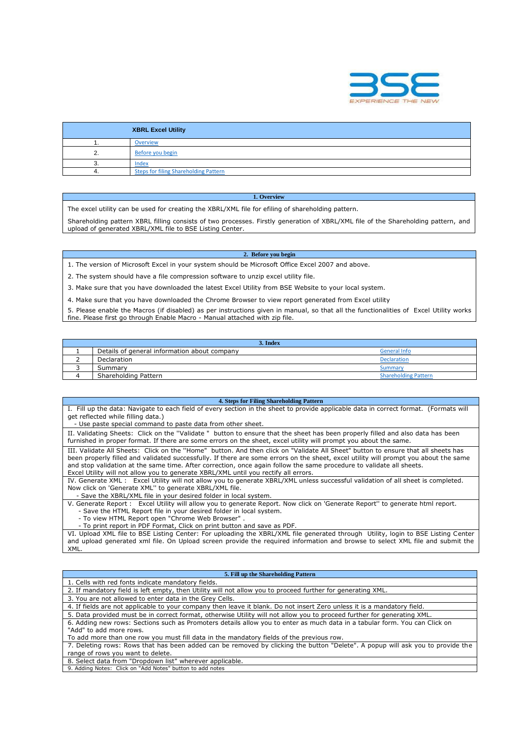

| <b>XBRL Excel Utility</b> |                                              |  |  |  |  |  |  |  |
|---------------------------|----------------------------------------------|--|--|--|--|--|--|--|
|                           | <b>Overview</b>                              |  |  |  |  |  |  |  |
|                           | Before you begin                             |  |  |  |  |  |  |  |
| ω.                        | Index                                        |  |  |  |  |  |  |  |
|                           | <b>Steps for filing Shareholding Pattern</b> |  |  |  |  |  |  |  |

## **1. Overview**

The excel utility can be used for creating the XBRL/XML file for efiling of shareholding pattern.

Shareholding pattern XBRL filling consists of two processes. Firstly generation of XBRL/XML file of the Shareholding pattern, and upload of generated XBRL/XML file to BSE Listing Center.

## **2. Before you begin**

1. The version of Microsoft Excel in your system should be Microsoft Office Excel 2007 and above.

2. The system should have a file compression software to unzip excel utility file.

3. Make sure that you have downloaded the latest Excel Utility from BSE Website to your local system.

4. Make sure that you have downloaded the Chrome Browser to view report generated from Excel utility

5. Please enable the Macros (if disabled) as per instructions given in manual, so that all the functionalities of Excel Utility works fine. Please first go through Enable Macro - Manual attached with zip file.

| 3. Index                                     |                             |  |  |  |  |  |  |  |  |
|----------------------------------------------|-----------------------------|--|--|--|--|--|--|--|--|
| Details of general information about company | <b>General Info</b>         |  |  |  |  |  |  |  |  |
| Declaration                                  | <b>Declaration</b>          |  |  |  |  |  |  |  |  |
| Summary                                      | <b>Summary</b>              |  |  |  |  |  |  |  |  |
| Shareholding Pattern                         | <b>Shareholding Pattern</b> |  |  |  |  |  |  |  |  |

## **4. Steps for Filing Shareholding Pattern**

I. Fill up the data: Navigate to each field of every section in the sheet to provide applicable data in correct format. (Formats will get reflected while filling data.) - Use paste special command to paste data from other sheet.

II. Validating Sheets: Click on the ''Validate " button to ensure that the sheet has been properly filled and also data has been furnished in proper format. If there are some errors on the sheet, excel utility will prompt you about the same.

III. Validate All Sheets: Click on the ''Home" button. And then click on "Validate All Sheet" button to ensure that all sheets has been properly filled and validated successfully. If there are some errors on the sheet, excel utility will prompt you about the same and stop validation at the same time. After correction, once again follow the same procedure to validate all sheets. Excel Utility will not allow you to generate XBRL/XML until you rectify all errors.

IV. Generate XML : Excel Utility will not allow you to generate XBRL/XML unless successful validation of all sheet is completed. Now click on 'Generate XML'' to generate XBRL/XML file.

- Save the XBRL/XML file in your desired folder in local system.

V. Generate Report : Excel Utility will allow you to generate Report. Now click on 'Generate Report'' to generate html report. - Save the HTML Report file in your desired folder in local system.

- To view HTML Report open "Chrome Web Browser" .
- To print report in PDF Format, Click on print button and save as PDF.

VI. Upload XML file to BSE Listing Center: For uploading the XBRL/XML file generated through Utility, login to BSE Listing Center and upload generated xml file. On Upload screen provide the required information and browse to select XML file and submit the XML.

## **5. Fill up the Shareholding Pattern**

| 1. Cells with red fonts indicate mandatory fields.                                                                             |
|--------------------------------------------------------------------------------------------------------------------------------|
| 2. If mandatory field is left empty, then Utility will not allow you to proceed further for generating XML.                    |
| 3. You are not allowed to enter data in the Grey Cells.                                                                        |
| 4. If fields are not applicable to your company then leave it blank. Do not insert Zero unless it is a mandatory field.        |
| 5. Data provided must be in correct format, otherwise Utility will not allow you to proceed further for generating XML.        |
| 6. Adding new rows: Sections such as Promoters details allow you to enter as much data in a tabular form. You can Click on     |
| "Add" to add more rows.                                                                                                        |
| To add more than one row you must fill data in the mandatory fields of the previous row.                                       |
| 7. Deleting rows: Rows that has been added can be removed by clicking the button "Delete". A popup will ask you to provide the |
| range of rows you want to delete.                                                                                              |
| 8. Select data from "Dropdown list" wherever applicable.                                                                       |
| 0. Adding Notes: Clieb on "Add Notes" button to add notes                                                                      |

9. Adding Notes: Click on "Add Notes" button to add no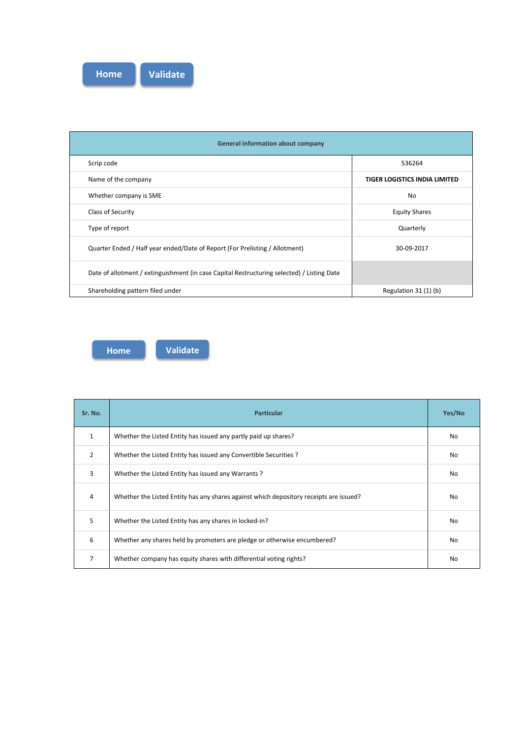

| <b>General information about company</b>                                                   |                               |  |  |  |  |  |  |  |  |
|--------------------------------------------------------------------------------------------|-------------------------------|--|--|--|--|--|--|--|--|
| Scrip code                                                                                 | 536264                        |  |  |  |  |  |  |  |  |
| Name of the company                                                                        | TIGER LOGISTICS INDIA LIMITED |  |  |  |  |  |  |  |  |
| Whether company is SME                                                                     | No.                           |  |  |  |  |  |  |  |  |
| Class of Security                                                                          | <b>Equity Shares</b>          |  |  |  |  |  |  |  |  |
| Type of report                                                                             | Quarterly                     |  |  |  |  |  |  |  |  |
| Quarter Ended / Half year ended/Date of Report (For Prelisting / Allotment)                | 30-09-2017                    |  |  |  |  |  |  |  |  |
| Date of allotment / extinguishment (in case Capital Restructuring selected) / Listing Date |                               |  |  |  |  |  |  |  |  |
| Shareholding pattern filed under                                                           | Regulation 31 (1) (b)         |  |  |  |  |  |  |  |  |

**Home Validate**

| Sr. No.        | <b>Particular</b>                                                                      | Yes/No |
|----------------|----------------------------------------------------------------------------------------|--------|
| $\mathbf{1}$   | Whether the Listed Entity has issued any partly paid up shares?                        | No     |
| $\overline{2}$ | Whether the Listed Entity has issued any Convertible Securities ?                      | No     |
| 3              | Whether the Listed Entity has issued any Warrants?                                     | No     |
| 4              | Whether the Listed Entity has any shares against which depository receipts are issued? | No     |
| 5              | Whether the Listed Entity has any shares in locked-in?                                 | No     |
| 6              | Whether any shares held by promoters are pledge or otherwise encumbered?               | No     |
| 7              | Whether company has equity shares with differential voting rights?                     | No     |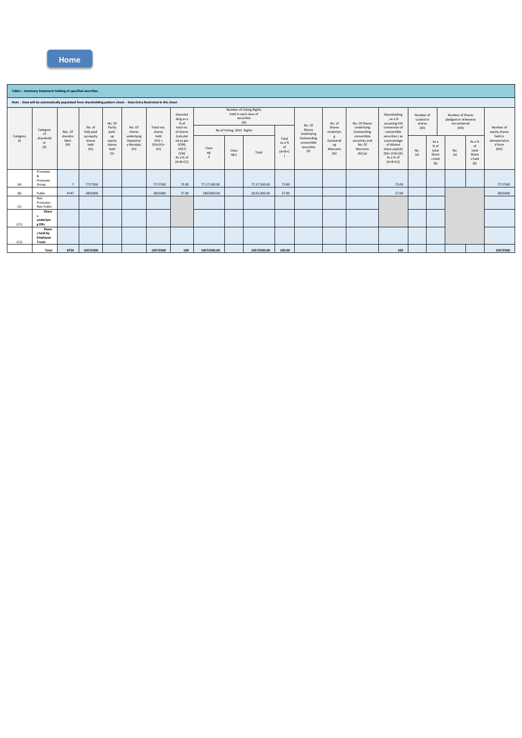|                 | Table I - Summary Statement holding of specified securities                                                      |                           |                                     |                                 |  |          |       |                                 |                                          |                                                                               |                              |                                                           |                                                                                                      |                                    |            |                                                 |                                                                                   |                                                                                        |                                                                                                                 |                                                                                                                                                                                              |                                           |                                                 |                                                                  |  |                            |
|-----------------|------------------------------------------------------------------------------------------------------------------|---------------------------|-------------------------------------|---------------------------------|--|----------|-------|---------------------------------|------------------------------------------|-------------------------------------------------------------------------------|------------------------------|-----------------------------------------------------------|------------------------------------------------------------------------------------------------------|------------------------------------|------------|-------------------------------------------------|-----------------------------------------------------------------------------------|----------------------------------------------------------------------------------------|-----------------------------------------------------------------------------------------------------------------|----------------------------------------------------------------------------------------------------------------------------------------------------------------------------------------------|-------------------------------------------|-------------------------------------------------|------------------------------------------------------------------|--|----------------------------|
|                 | Note: Data will be automatically populated from shareholding pattern sheet - Data Entry Restricted in this sheet |                           |                                     |                                 |  |          |       |                                 |                                          |                                                                               |                              |                                                           |                                                                                                      |                                    |            |                                                 |                                                                                   |                                                                                        |                                                                                                                 |                                                                                                                                                                                              |                                           |                                                 |                                                                  |  |                            |
| Category<br>(1) | Category<br>of<br>sharehold<br>er<br>(11)                                                                        | Nos. Of                   |                                     | No. of<br>fully paid            |  |          |       |                                 | No. Of<br>Partly<br>paid-                | No. Of<br>shares<br>underlying                                                | Total nos.<br>shares         | Sharehol<br>ding as a<br>$%$ of<br>total no.<br>of shares | Number of Voting Rights<br>held in each class of<br>securities<br>( X )<br>No of Voting (XIV) Rights |                                    |            |                                                 | No. Of<br>Shares<br>Underlying<br>Outstanding<br>convertible<br>securities<br>(X) | No. of<br>Shares<br>Underlyin<br>g<br>Outstandi<br>ng<br>Warrants<br>(X <sub>i</sub> ) | No. Of Shares<br>Underlying<br>Outstanding<br>convertible<br>securities and<br>No. Of<br>Warrants<br>$(Xi)$ (a) | Shareholding<br>, as a %<br>assuming full<br>conversion of<br>convertible<br>securities (as<br>a percentage<br>of diluted<br>share capital)<br>$(XI) = (VII)+(X)$<br>As a % of<br>$(A+B+C2)$ | Number of<br>Locked in<br>shares<br>(X  ) |                                                 | Number of Shares<br>pledged or otherwise<br>encumbered<br>(XIII) |  | Number of<br>equity shares |
|                 |                                                                                                                  | shareho<br>Iders<br>(III) | up equity<br>shares<br>held<br>(IV) | equity<br>shares<br>held<br>(V) |  |          | up    | Depositor<br>y Receipts<br>(VI) | held<br>$(VII) =$<br>$(IV)+(V)+$<br>(VI) | (calculat<br>ed as per<br>SCRR,<br>1957)<br>(VIII)<br>As a % of<br>$(A+B+C2)$ | Class<br>eg:<br>$\mathsf{x}$ | Class<br>eg:y                                             | Total                                                                                                | Total<br>as a %<br>of<br>$(A+B+C)$ | No.<br>(a) | As a<br>% of<br>total<br>Share<br>s held<br>(b) |                                                                                   |                                                                                        |                                                                                                                 |                                                                                                                                                                                              | No.<br>(a)                                | As a %<br>of<br>total<br>Share<br>s held<br>(b) | held in<br>dematerialize<br>d form<br>(XIV)                      |  |                            |
| (A)             | Promoter<br>R,<br>Promoter<br>Group                                                                              | $\overline{7}$            | 7717500                             |                                 |  | 7717500  | 73.00 | 77,17,500.00                    |                                          | 77.17.500.00                                                                  | 73.00                        |                                                           |                                                                                                      |                                    | 73.00      |                                                 |                                                                                   |                                                                                        |                                                                                                                 | 7717500                                                                                                                                                                                      |                                           |                                                 |                                                                  |  |                            |
| (B)             | Public                                                                                                           | 4747                      | 2855000                             |                                 |  | 2855000  | 27.00 | 2855000.00                      |                                          | 28.55.000.00                                                                  | 27.00                        |                                                           |                                                                                                      |                                    | 27.00      |                                                 |                                                                                   |                                                                                        |                                                                                                                 | 2855000                                                                                                                                                                                      |                                           |                                                 |                                                                  |  |                            |
| (C)             | Non<br>Promoter-<br>Non Public                                                                                   |                           |                                     |                                 |  |          |       |                                 |                                          |                                                                               |                              |                                                           |                                                                                                      |                                    |            |                                                 |                                                                                   |                                                                                        |                                                                                                                 |                                                                                                                                                                                              |                                           |                                                 |                                                                  |  |                            |
| (C1)            | Share<br>$\mathsf{s}$<br>underlyin<br>g DRs                                                                      |                           |                                     |                                 |  |          |       |                                 |                                          |                                                                               |                              |                                                           |                                                                                                      |                                    |            |                                                 |                                                                                   |                                                                                        |                                                                                                                 |                                                                                                                                                                                              |                                           |                                                 |                                                                  |  |                            |
| (C2)            | Share<br>s held by<br>Employee<br>Trusts                                                                         |                           |                                     |                                 |  |          |       |                                 |                                          |                                                                               |                              |                                                           |                                                                                                      |                                    |            |                                                 |                                                                                   |                                                                                        |                                                                                                                 |                                                                                                                                                                                              |                                           |                                                 |                                                                  |  |                            |
|                 | Total                                                                                                            | 4754                      | 10572500                            |                                 |  | 10572500 | 100   | 10572500.00                     |                                          | 10572500.00                                                                   | 100.00                       |                                                           |                                                                                                      |                                    | 100        |                                                 |                                                                                   |                                                                                        |                                                                                                                 | 10572500                                                                                                                                                                                     |                                           |                                                 |                                                                  |  |                            |